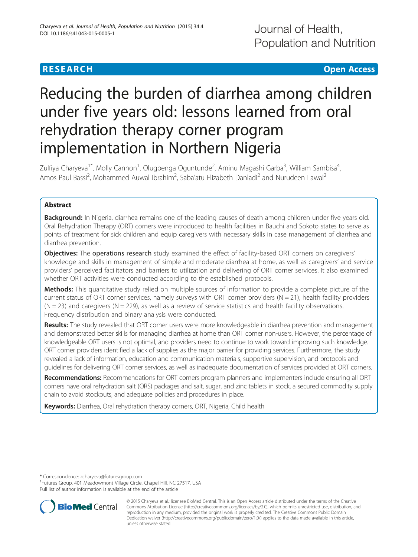## **RESEARCH CHEAR CHEAR CHEAR CHEAR CHEAR CHEAR CHEAR CHEAR CHEAR CHEAR CHEAR CHEAR CHEAR CHEAR CHEAR CHEAR CHEAR**

# Reducing the burden of diarrhea among children under five years old: lessons learned from oral rehydration therapy corner program implementation in Northern Nigeria

Zulfiya Charyeva<sup>1\*</sup>, Molly Cannon<sup>1</sup>, Olugbenga Oguntunde<sup>2</sup>, Aminu Magashi Garba<sup>3</sup>, William Sambisa<sup>4</sup> , Amos Paul Bassi<sup>2</sup>, Mohammed Auwal Ibrahim<sup>2</sup>, Saba'atu Elizabeth Danladi<sup>2</sup> and Nurudeen Lawal<sup>2</sup>

## Abstract

Background: In Nigeria, diarrhea remains one of the leading causes of death among children under five years old. Oral Rehydration Therapy (ORT) corners were introduced to health facilities in Bauchi and Sokoto states to serve as points of treatment for sick children and equip caregivers with necessary skills in case management of diarrhea and diarrhea prevention.

Objectives: The operations research study examined the effect of facility-based ORT corners on caregivers' knowledge and skills in management of simple and moderate diarrhea at home, as well as caregivers' and service providers' perceived facilitators and barriers to utilization and delivering of ORT corner services. It also examined whether ORT activities were conducted according to the established protocols.

Methods: This quantitative study relied on multiple sources of information to provide a complete picture of the current status of ORT corner services, namely surveys with ORT corner providers ( $N = 21$ ), health facility providers  $(N = 23)$  and caregivers  $(N = 229)$ , as well as a review of service statistics and health facility observations. Frequency distribution and binary analysis were conducted.

Results: The study revealed that ORT corner users were more knowledgeable in diarrhea prevention and management and demonstrated better skills for managing diarrhea at home than ORT corner non-users. However, the percentage of knowledgeable ORT users is not optimal, and providers need to continue to work toward improving such knowledge. ORT corner providers identified a lack of supplies as the major barrier for providing services. Furthermore, the study revealed a lack of information, education and communication materials, supportive supervision, and protocols and guidelines for delivering ORT corner services, as well as inadequate documentation of services provided at ORT corners.

Recommendations: Recommendations for ORT corners program planners and implementers include ensuring all ORT corners have oral rehydration salt (ORS) packages and salt, sugar, and zinc tablets in stock, a secured commodity supply chain to avoid stockouts, and adequate policies and procedures in place.

Keywords: Diarrhea, Oral rehydration therapy corners, ORT, Nigeria, Child health

\* Correspondence: [zcharyeva@futuresgroup.com](mailto:zcharyeva@futuresgroup.com) <sup>1</sup>

<sup>&</sup>lt;sup>1</sup> Futures Group, 401 Meadowmont Village Circle, Chapel Hill, NC 27517, USA Full list of author information is available at the end of the article



<sup>© 2015</sup> Charyeva et al.; licensee BioMed Central. This is an Open Access article distributed under the terms of the Creative Commons Attribution License [\(http://creativecommons.org/licenses/by/2.0\)](http://creativecommons.org/licenses/by/2.0), which permits unrestricted use, distribution, and reproduction in any medium, provided the original work is properly credited. The Creative Commons Public Domain Dedication waiver [\(http://creativecommons.org/publicdomain/zero/1.0/](http://creativecommons.org/publicdomain/zero/1.0/)) applies to the data made available in this article, unless otherwise stated.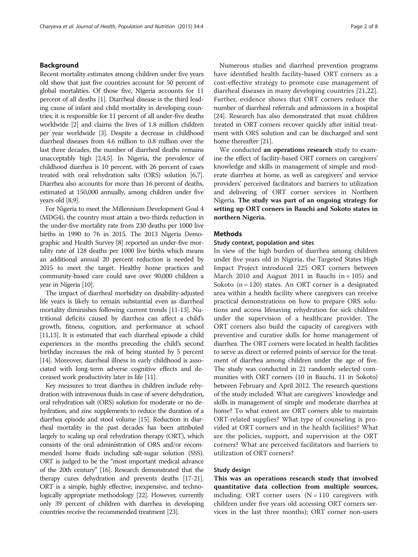#### Background

Recent mortality estimates among children under five years old show that just five countries account for 50 percent of global mortalities. Of those five, Nigeria accounts for 11 percent of all deaths [[1](#page-7-0)]. Diarrheal disease is the third leading cause of infant and child mortality in developing countries; it is responsible for 11 percent of all under-five deaths worldwide [\[2](#page-7-0)] and claims the lives of 1.8 million children per year worldwide [\[3](#page-7-0)]. Despite a decrease in childhood diarrheal diseases from 4.6 million to 0.8 million over the last three decades, the number of diarrheal deaths remains unacceptably high [\[2,4,5](#page-7-0)]. In Nigeria, the prevalence of childhood diarrhea is 10 percent, with 26 percent of cases treated with oral rehydration salts (ORS) solution [\[6,7](#page-7-0)]. Diarrhea also accounts for more than 16 percent of deaths, estimated at 150,000 annually, among children under five years old [\[8,9](#page-7-0)].

For Nigeria to meet the Millennium Development Goal 4 (MDG4), the country must attain a two-thirds reduction in the under-five mortality rate from 230 deaths per 1000 live births in 1990 to 76 in 2015. The 2013 Nigeria Demographic and Health Survey [\[8\]](#page-7-0) reported an under-five mortality rate of 128 deaths per 1000 live births which means an additional annual 20 percent reduction is needed by 2015 to meet the target. Healthy home practices and community-based care could save over 90,000 children a year in Nigeria [[10](#page-7-0)].

The impact of diarrheal morbidity on disability-adjusted life years is likely to remain substantial even as diarrheal mortality diminishes following current trends [[11](#page-7-0)-[13](#page-7-0)]. Nutritional deficits caused by diarrhea can affect a child's growth, fitness, cognition, and performance at school [[11,13\]](#page-7-0). It is estimated that each diarrheal episode a child experiences in the months preceding the child's second birthday increases the risk of being stunted by 5 percent [[14](#page-7-0)]. Moreover, diarrheal illness in early childhood is associated with long-term adverse cognitive effects and decreased work productivity later in life [\[11\]](#page-7-0).

Key measures to treat diarrhea in children include rehydration with intravenous fluids in case of severe dehydration, oral rehydration salt (ORS) solution for moderate or no dehydration, and zinc supplements to reduce the duration of a diarrhea episode and stool volume [\[15](#page-7-0)]. Reduction in diarrheal mortality in the past decades has been attributed largely to scaling up oral rehydration therapy (ORT), which consists of the oral administration of ORS and/or recommended home fluids including salt-sugar solution (SSS). ORT is judged to be the "most important medical advance of the 20th century" [\[16](#page-7-0)]. Research demonstrated that the therapy cures dehydration and prevents deaths [[17-21](#page-7-0)]. ORT is a simple, highly effective, inexpensive, and technologically appropriate methodology [\[22\]](#page-7-0). However, currently only 39 percent of children with diarrhea in developing countries receive the recommended treatment [\[23](#page-7-0)].

Numerous studies and diarrheal prevention programs have identified health facility-based ORT corners as a cost-effective strategy to promote case management of diarrheal diseases in many developing countries [[21,22](#page-7-0)]. Further, evidence shows that ORT corners reduce the number of diarrheal referrals and admissions in a hospital [[24](#page-7-0)]. Research has also demonstrated that most children treated in ORT corners recover quickly after initial treatment with ORS solution and can be discharged and sent home thereafter [\[21\]](#page-7-0).

We conducted an operations research study to examine the effect of facility-based ORT corners on caregivers' knowledge and skills in management of simple and moderate diarrhea at home, as well as caregivers' and service providers' perceived facilitators and barriers to utilization and delivering of ORT corner services in Northern Nigeria. The study was part of an ongoing strategy for setting up ORT corners in Bauchi and Sokoto states in northern Nigeria.

## Methods

#### Study context, population and sites

In view of the high burden of diarrhea among children under five years old in Nigeria, the Targeted States High Impact Project introduced 225 ORT corners between March 2010 and August 2011 in Bauchi ( $n = 105$ ) and Sokoto ( $n = 120$ ) states. An ORT corner is a designated area within a health facility where caregivers can receive practical demonstrations on how to prepare ORS solutions and access lifesaving rehydration for sick children under the supervision of a healthcare provider. The ORT corners also build the capacity of caregivers with preventive and curative skills for home management of diarrhea. The ORT corners were located in health facilities to serve as direct or referred points of service for the treatment of diarrhea among children under the age of five. The study was conducted in 21 randomly selected communities with ORT corners (10 in Bauchi, 11 in Sokoto) between February and April 2012. The research questions of the study included: What are caregivers' knowledge and skills in management of simple and moderate diarrhea at home? To what extent are ORT corners able to maintain ORT-related supplies? What type of counseling is provided at ORT corners and in the health facilities? What are the policies, support, and supervision at the ORT corners? What are perceived facilitators and barriers to utilization of ORT corners?

#### Study design

This was an operations research study that involved quantitative data collection from multiple sources, including: ORT corner users  $(N = 110$  caregivers with children under five years old accessing ORT corners services in the last three months); ORT corner non-users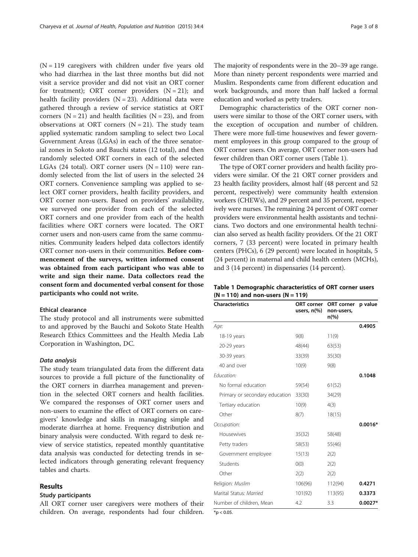$(N = 119)$  caregivers with children under five years old who had diarrhea in the last three months but did not visit a service provider and did not visit an ORT corner for treatment); ORT corner providers  $(N = 21)$ ; and health facility providers  $(N = 23)$ . Additional data were gathered through a review of service statistics at ORT corners  $(N = 21)$  and health facilities  $(N = 23)$ , and from observations at ORT corners  $(N = 21)$ . The study team applied systematic random sampling to select two Local Government Areas (LGAs) in each of the three senator-

ial zones in Sokoto and Bauchi states (12 total), and then randomly selected ORT corners in each of the selected LGAs (24 total). ORT corner users  $(N = 110)$  were randomly selected from the list of users in the selected 24 ORT corners. Convenience sampling was applied to select ORT corner providers, health facility providers, and ORT corner non-users. Based on providers' availability, we surveyed one provider from each of the selected ORT corners and one provider from each of the health facilities where ORT corners were located. The ORT corner users and non-users came from the same communities. Community leaders helped data collectors identify ORT corner non-users in their communities. Before commencement of the surveys, written informed consent was obtained from each participant who was able to write and sign their name. Data collectors read the consent form and documented verbal consent for those participants who could not write.

#### Ethical clearance

The study protocol and all instruments were submitted to and approved by the Bauchi and Sokoto State Health Research Ethics Committees and the Health Media Lab Corporation in Washington, DC.

#### Data analysis

The study team triangulated data from the different data sources to provide a full picture of the functionality of the ORT corners in diarrhea management and prevention in the selected ORT corners and health facilities. We compared the responses of ORT corner users and non-users to examine the effect of ORT corners on caregivers' knowledge and skills in managing simple and moderate diarrhea at home. Frequency distribution and binary analysis were conducted. With regard to desk review of service statistics, repeated monthly quantitative data analysis was conducted for detecting trends in selected indicators through generating relevant frequency tables and charts.

## Results

#### Study participants

All ORT corner user caregivers were mothers of their children. On average, respondents had four children.

The majority of respondents were in the 20–39 age range. More than ninety percent respondents were married and Muslim. Respondents came from different education and work backgrounds, and more than half lacked a formal education and worked as petty traders.

Demographic characteristics of the ORT corner nonusers were similar to those of the ORT corner users, with the exception of occupation and number of children. There were more full-time housewives and fewer government employees in this group compared to the group of ORT corner users. On average, ORT corner non-users had fewer children than ORT corner users (Table 1).

The type of ORT corner providers and health facility providers were similar. Of the 21 ORT corner providers and 23 health facility providers, almost half (48 percent and 52 percent, respectively) were community health extension workers (CHEWs), and 29 percent and 35 percent, respectively were nurses. The remaining 24 percent of ORT corner providers were environmental health assistants and technicians. Two doctors and one environmental health technician also served as health facility providers. Of the 21 ORT corners, 7 (33 percent) were located in primary health centers (PHCs), 6 (29 percent) were located in hospitals, 5 (24 percent) in maternal and child health centers (MCHs), and 3 (14 percent) in dispensaries (14 percent).

| Table 1 Demographic characteristics of ORT corner users |  |
|---------------------------------------------------------|--|
| $(N = 110)$ and non-users $(N = 119)$                   |  |

| <b>Characteristics</b>         | ORT corner<br>users, $n\llap/$ | <b>ORT</b> corner<br>non-users,<br>$n$ (%) | p value   |
|--------------------------------|--------------------------------|--------------------------------------------|-----------|
| Age:                           |                                |                                            | 0.4905    |
| 18-19 years                    | 9(8)                           | 11(9)                                      |           |
| 20-29 years                    | 48(44)                         | 63(53)                                     |           |
| 30-39 years                    | 33(39)                         | 35(30)                                     |           |
| 40 and over                    | 10(9)                          | 9(8)                                       |           |
| Education:                     |                                |                                            | 0.1048    |
| No formal education            | 59(54)                         | 61(52)                                     |           |
| Primary or secondary education | 33(30)                         | 34(29)                                     |           |
| Tertiary education             | 10(9)                          | 4(3)                                       |           |
| Other                          | 8(7)                           | 18(15)                                     |           |
| Occupation:                    |                                |                                            | $0.0016*$ |
| <b>Housewives</b>              | 35(32)                         | 58(48)                                     |           |
| Petty traders                  | 58(53)                         | 55(46)                                     |           |
| Government employee            | 15(13)                         | 2(2)                                       |           |
| Students                       | O(0)                           | 2(2)                                       |           |
| Other                          | 2(2)                           | 2(2)                                       |           |
| Religion: Muslim               | 106(96)                        | 112(94)                                    | 0.4271    |
| Marital Status: Married        | 101(92)                        | 113(95)                                    | 0.3373    |
| Number of children, Mean       | 4.2                            | 3.3                                        | $0.0027*$ |

 $*$ p < 0.05.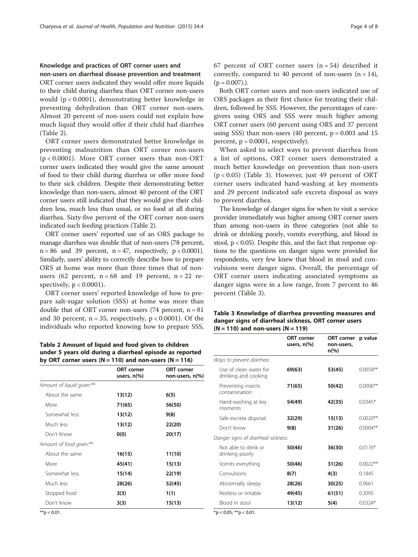## Knowledge and practices of ORT corner users and

non-users on diarrheal disease prevention and treatment ORT corner users indicated they would offer more liquids to their child during diarrhea than ORT corner non-users would (p < 0.0001), demonstrating better knowledge in preventing dehydration than ORT corner non-users. Almost 20 percent of non-users could not explain how much liquid they would offer if their child had diarrhea (Table 2).

ORT corner users demonstrated better knowledge in preventing malnutrition than ORT corner non-users (p < 0.0001). More ORT corner users than non-ORT corner users indicated they would give the same amount of food to their child during diarrhea or offer more food to their sick children. Despite their demonstrating better knowledge than non-users, almost 40 percent of the ORT corner users still indicated that they would give their children less, much less than usual, or no food at all during diarrhea. Sixty-five percent of the ORT corner non-users indicated such feeding practices (Table 2).

ORT corner users' reported use of an ORS package to manage diarrhea was double that of non-users (78 percent,  $n = 86$  and 39 percent,  $n = 47$ , respectively,  $p < 0.0001$ ). Similarly, users' ability to correctly describe how to prepare ORS at home was more than three times that of nonusers (62 percent,  $n = 68$  and 19 percent,  $n = 22$  respectively,  $p < 0.0001$ ).

ORT corner users' reported knowledge of how to prepare salt-sugar solution (SSS) at home was more than double that of ORT corner non-users  $(74$  percent,  $n = 81$ and 30 percent,  $n = 35$ , respectively,  $p < 0.0001$ ). Of the individuals who reported knowing how to prepare SSS, 67 percent of ORT corner users  $(n = 54)$  described it correctly, compared to 40 percent of non-users  $(n = 14)$ ,  $(p = 0.007)$ .).

Both ORT corner users and non-users indicated use of ORS packages as their first choice for treating their children, followed by SSS. However, the percentages of caregivers using ORS and SSS were much higher among ORT corner users (60 percent using ORS and 37 percent using SSS) than non-users (40 percent,  $p = 0.003$  and 15 percent,  $p = 0.0001$ , respectively).

When asked to select ways to prevent diarrhea from a list of options, ORT corner users demonstrated a much better knowledge on prevention than non-users (p < 0.05) (Table 3). However, just 49 percent of ORT corner users indicated hand-washing at key moments and 29 percent indicated safe excreta disposal as ways to prevent diarrhea.

The knowledge of danger signs for when to visit a service provider immediately was higher among ORT corner users than among non-users in three categories (not able to drink or drinking poorly, vomits everything, and blood in stool, p < 0.05). Despite this, and the fact that response options to the questions on danger signs were provided for respondents, very few knew that blood in stool and convulsions were danger signs. Overall, the percentage of ORT corner users indicating associated symptoms as danger signs were in a low range, from 7 percent to 46 percent (Table 3).

| Table 3 Knowledge of diarrhea preventing measures and |
|-------------------------------------------------------|
| danger signs of diarrheal sickness, ORT corner users  |
| $(N = 110)$ and non-users $(N = 119)$                 |

| Table 2 Amount of liquid and food given to children       |                     |                          |
|-----------------------------------------------------------|---------------------|--------------------------|
| under 5 years old during a diarrheal episode as reported  |                     |                          |
| by ORT corner users $(N = 110)$ and non-users $(N = 116)$ |                     |                          |
|                                                           | $\bigcap_{i=1}^{n}$ | $\bigcap_{n=1}^{\infty}$ |

|                           | <b>ORT</b> corner<br>users, $n$ (%) | <b>ORT</b> corner<br>non-users, n(%) |
|---------------------------|-------------------------------------|--------------------------------------|
| Amount of liquid given:** |                                     |                                      |
| About the same            | 13(12)                              | 6(5)                                 |
| More                      | 71(65)                              | 56(50)                               |
| Somewhat less             | 13(12)                              | 9(8)                                 |
| Much less                 | 13(12)                              | 22(20)                               |
| Don't Know                | 0(0)                                | 20(17)                               |
| Amount of food given:**   |                                     |                                      |
| About the same            | 16(15)                              | 11(10)                               |
| More                      | 45(41)                              | 15(13)                               |
| Somewhat less             | 15(14)                              | 22(19)                               |
| Much less                 | 28(26)                              | 52(45)                               |
| Stopped food              | 3(3)                                | 1(1)                                 |
| Don't know                | 3(3)                                | 15(13)                               |

 $**p < 0.01$ .

|                                                | ORT corner<br>users, $n\llap{$}0$ | <b>ORT</b> corner<br>non-users,<br>n(%) | p value    |
|------------------------------------------------|-----------------------------------|-----------------------------------------|------------|
| Ways to prevent diarrhea:                      |                                   |                                         |            |
| Use of clean water for<br>drinking and cooking | 69(63)                            | 53(45)                                  | $0.0058**$ |
| Preventing insects<br>contamination            | 71(65)                            | 50(42)                                  | $0.0006**$ |
| Hand-washing at key<br>moments                 | 54(49)                            | 42(35)                                  | $0.0345*$  |
| Safe excreta disposal                          | 32(29)                            | 15(13)                                  | $0.0020**$ |
| Don't know                                     | 9(8)                              | 31(26)                                  | $0.0004**$ |
| Danger signs of diarrheal sickness:            |                                   |                                         |            |
| Not able to drink or<br>drinking poorly        | 50(46)                            | 36(30)                                  | $0.0176*$  |
| Vomits everything                              | 50(46)                            | 31(26)                                  | $0.0022**$ |
| Convulsions                                    | 8(7)                              | 4(3)                                    | 0.1845     |
| Abnormally sleepy                              | 28(26)                            | 30(25)                                  | 0.9661     |
| Restless or irritable                          | 49(45)                            | 61(51)                                  | 0.3095     |
| Blood in stool                                 | 13(12)                            | 5(4)                                    | $0.0324*$  |

 $*$ p < 0.05; \*\*p < 0.01.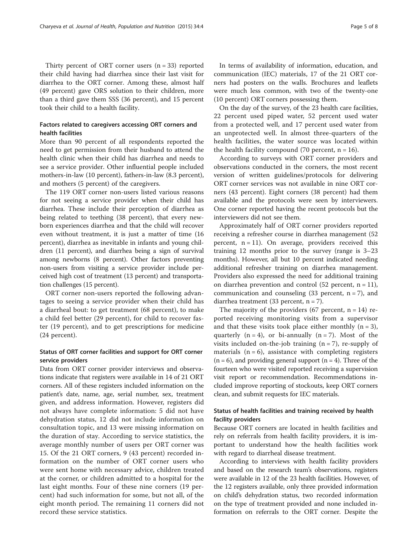Thirty percent of ORT corner users  $(n = 33)$  reported their child having had diarrhea since their last visit for diarrhea to the ORT corner. Among these, almost half (49 percent) gave ORS solution to their children, more than a third gave them SSS (36 percent), and 15 percent took their child to a health facility.

## Factors related to caregivers accessing ORT corners and health facilities

More than 90 percent of all respondents reported the need to get permission from their husband to attend the health clinic when their child has diarrhea and needs to see a service provider. Other influential people included mothers-in-law (10 percent), fathers-in-law (8.3 percent), and mothers (5 percent) of the caregivers.

The 119 ORT corner non-users listed various reasons for not seeing a service provider when their child has diarrhea. These include their perception of diarrhea as being related to teething (38 percent), that every newborn experiences diarrhea and that the child will recover even without treatment, it is just a matter of time (16 percent), diarrhea as inevitable in infants and young children (11 percent), and diarrhea being a sign of survival among newborns (8 percent). Other factors preventing non-users from visiting a service provider include perceived high cost of treatment (13 percent) and transportation challenges (15 percent).

ORT corner non-users reported the following advantages to seeing a service provider when their child has a diarrheal bout: to get treatment (68 percent), to make a child feel better (29 percent), for child to recover faster (19 percent), and to get prescriptions for medicine (24 percent).

## Status of ORT corner facilities and support for ORT corner service providers

Data from ORT corner provider interviews and observations indicate that registers were available in 14 of 21 ORT corners. All of these registers included information on the patient's date, name, age, serial number, sex, treatment given, and address information. However, registers did not always have complete information: 5 did not have dehydration status, 12 did not include information on consultation topic, and 13 were missing information on the duration of stay. According to service statistics, the average monthly number of users per ORT corner was 15. Of the 21 ORT corners, 9 (43 percent) recorded information on the number of ORT corner users who were sent home with necessary advice, children treated at the corner, or children admitted to a hospital for the last eight months. Four of these nine corners (19 percent) had such information for some, but not all, of the eight month period. The remaining 11 corners did not record these service statistics.

In terms of availability of information, education, and communication (IEC) materials, 17 of the 21 ORT corners had posters on the walls. Brochures and leaflets were much less common, with two of the twenty-one (10 percent) ORT corners possessing them.

On the day of the survey, of the 23 health care facilities, 22 percent used piped water, 52 percent used water from a protected well, and 17 percent used water from an unprotected well. In almost three-quarters of the health facilities, the water source was located within the health facility compound (70 percent,  $n = 16$ ).

According to surveys with ORT corner providers and observations conducted in the corners, the most recent version of written guidelines/protocols for delivering ORT corner services was not available in nine ORT corners (43 percent). Eight corners (38 percent) had them available and the protocols were seen by interviewers. One corner reported having the recent protocols but the interviewers did not see them.

Approximately half of ORT corner providers reported receiving a refresher course in diarrhea management (52 percent,  $n = 11$ ). On average, providers received this training 12 months prior to the survey (range is 3–23 months). However, all but 10 percent indicated needing additional refresher training on diarrhea management. Providers also expressed the need for additional training on diarrhea prevention and control (52 percent,  $n = 11$ ), communication and counseling  $(33$  percent,  $n = 7$ ), and diarrhea treatment (33 percent, n = 7).

The majority of the providers  $(67$  percent,  $n = 14$ ) reported receiving monitoring visits from a supervisor and that these visits took place either monthly  $(n = 3)$ , quarterly  $(n = 4)$ , or bi-annually  $(n = 7)$ . Most of the visits included on-the-job training  $(n = 7)$ , re-supply of materials  $(n = 6)$ , assistance with completing registers  $(n = 6)$ , and providing general support  $(n = 4)$ . Three of the fourteen who were visited reported receiving a supervision visit report or recommendation. Recommendations included improve reporting of stockouts, keep ORT corners clean, and submit requests for IEC materials.

## Status of health facilities and training received by health facility providers

Because ORT corners are located in health facilities and rely on referrals from health facility providers, it is important to understand how the health facilities work with regard to diarrheal disease treatment.

According to interviews with health facility providers and based on the research team's observations, registers were available in 12 of the 23 health facilities. However, of the 12 registers available, only three provided information on child's dehydration status, two recorded information on the type of treatment provided and none included information on referrals to the ORT corner. Despite the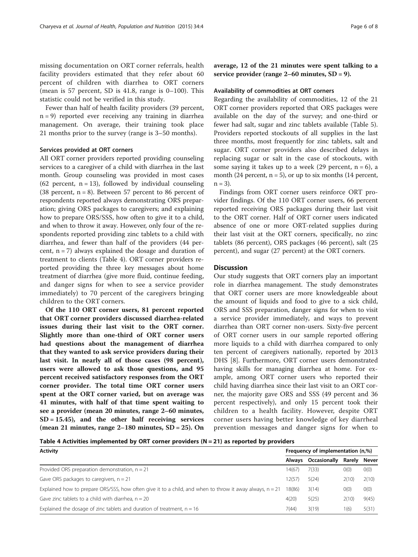missing documentation on ORT corner referrals, health facility providers estimated that they refer about 60 percent of children with diarrhea to ORT corners (mean is 57 percent, SD is 41.8, range is 0–100). This statistic could not be verified in this study.

Fewer than half of health facility providers (39 percent,  $n = 9$ ) reported ever receiving any training in diarrhea management. On average, their training took place 21 months prior to the survey (range is 3–50 months).

## Services provided at ORT corners

All ORT corner providers reported providing counseling services to a caregiver of a child with diarrhea in the last month. Group counseling was provided in most cases (62 percent,  $n = 13$ ), followed by individual counseling (38 percent,  $n = 8$ ). Between 57 percent to 86 percent of respondents reported always demonstrating ORS preparation; giving ORS packages to caregivers; and explaining how to prepare ORS/SSS, how often to give it to a child, and when to throw it away. However, only four of the respondents reported providing zinc tablets to a child with diarrhea, and fewer than half of the providers (44 percent,  $n = 7$ ) always explained the dosage and duration of treatment to clients (Table 4). ORT corner providers reported providing the three key messages about home treatment of diarrhea (give more fluid, continue feeding, and danger signs for when to see a service provider immediately) to 70 percent of the caregivers bringing children to the ORT corners.

Of the 110 ORT corner users, 81 percent reported that ORT corner providers discussed diarrhea-related issues during their last visit to the ORT corner. Slightly more than one-third of ORT corner users had questions about the management of diarrhea that they wanted to ask service providers during their last visit. In nearly all of those cases (98 percent), users were allowed to ask those questions, and 95 percent received satisfactory responses from the ORT corner provider. The total time ORT corner users spent at the ORT corner varied, but on average was 41 minutes, with half of that time spent waiting to see a provider (mean 20 minutes, range 2–60 minutes,  $SD = 15.45$ , and the other half receiving services (mean 21 minutes, range  $2-180$  minutes,  $SD = 25$ ). On

average, 12 of the 21 minutes were spent talking to a service provider (range 2–60 minutes, SD = 9).

## Availability of commodities at ORT corners

Regarding the availability of commodities, 12 of the 21 ORT corner providers reported that ORS packages were available on the day of the survey; and one-third or fewer had salt, sugar and zinc tablets available (Table [5](#page-6-0)). Providers reported stockouts of all supplies in the last three months, most frequently for zinc tablets, salt and sugar. ORT corner providers also described delays in replacing sugar or salt in the case of stockouts, with some saying it takes up to a week (29 percent,  $n = 6$ ), a month (24 percent,  $n = 5$ ), or up to six months (14 percent,  $n = 3$ ).

Findings from ORT corner users reinforce ORT provider findings. Of the 110 ORT corner users, 66 percent reported receiving ORS packages during their last visit to the ORT corner. Half of ORT corner users indicated absence of one or more ORT-related supplies during their last visit at the ORT corners, specifically, no zinc tablets (86 percent), ORS packages (46 percent), salt (25 percent), and sugar (27 percent) at the ORT corners.

## **Discussion**

Our study suggests that ORT corners play an important role in diarrhea management. The study demonstrates that ORT corner users are more knowledgeable about the amount of liquids and food to give to a sick child, ORS and SSS preparation, danger signs for when to visit a service provider immediately, and ways to prevent diarrhea than ORT corner non-users. Sixty-five percent of ORT corner users in our sample reported offering more liquids to a child with diarrhea compared to only ten percent of caregivers nationally, reported by 2013 DHS [[8](#page-7-0)]. Furthermore, ORT corner users demonstrated having skills for managing diarrhea at home. For example, among ORT corner users who reported their child having diarrhea since their last visit to an ORT corner, the majority gave ORS and SSS (49 percent and 36 percent respectively), and only 15 percent took their children to a health facility. However, despite ORT corner users having better knowledge of key diarrheal prevention messages and danger signs for when to

Table 4 Activities implemented by ORT corner providers  $(N = 21)$  as reported by providers

| <b>Activity</b>                                                                                            |        | Frequency of implementation (n,%) |        |       |  |
|------------------------------------------------------------------------------------------------------------|--------|-----------------------------------|--------|-------|--|
|                                                                                                            | Always | Occasionally                      | Rarelv | Never |  |
| Provided ORS preparation demonstration, $n = 21$                                                           | 14(67) | 7(33)                             | O(0)   | O(0)  |  |
| Gave ORS packages to caregivers, $n = 21$                                                                  | 12(57) | 5(24)                             | 2(10)  | 2(10) |  |
| Explained how to prepare ORS/SSS, how often give it to a child, and when to throw it away always, $n = 21$ | 18(86) | 3(14)                             | O(0)   | O(0)  |  |
| Gave zinc tablets to a child with diarrhea, $n = 20$                                                       | 4(20)  | 5(25)                             | 2(10)  | 9(45) |  |
| Explained the dosage of zinc tablets and duration of treatment, $n = 16$                                   | 7(44)  | 3(19)                             | 1(6)   | 5(31) |  |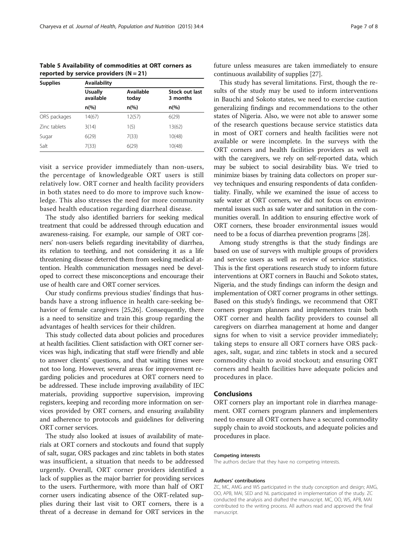<span id="page-6-0"></span>Table 5 Availability of commodities at ORT corners as reported by service providers  $(N = 21)$ 

| <b>Supplies</b> | Availability                |                    |                                   |  |
|-----------------|-----------------------------|--------------------|-----------------------------------|--|
|                 | <b>Usually</b><br>available | Available<br>today | <b>Stock out last</b><br>3 months |  |
|                 | n(%)                        | $n\frac{6}{6}$     | $n\frac{6}{6}$                    |  |
| ORS packages    | 14(67)                      | 12(57)             | 6(29)                             |  |
| Zinc tablets    | 3(14)                       | 1(5)               | 13(62)                            |  |
| Sugar           | 6(29)                       | 7(33)              | 10(48)                            |  |
| Salt            | 7(33)                       | 6(29)              | 10(48)                            |  |
|                 |                             |                    |                                   |  |

visit a service provider immediately than non-users, the percentage of knowledgeable ORT users is still relatively low. ORT corner and health facility providers in both states need to do more to improve such knowledge. This also stresses the need for more community based health education regarding diarrheal disease.

The study also identified barriers for seeking medical treatment that could be addressed through education and awareness-raising. For example, our sample of ORT corners' non-users beliefs regarding inevitability of diarrhea, its relation to teething, and not considering it as a life threatening disease deterred them from seeking medical attention. Health communication messages need be developed to correct these misconceptions and encourage their use of health care and ORT corner services.

Our study confirms previous studies' findings that husbands have a strong influence in health care-seeking behavior of female caregivers [[25](#page-7-0),[26](#page-7-0)]. Consequently, there is a need to sensitize and train this group regarding the advantages of health services for their children.

This study collected data about policies and procedures at health facilities. Client satisfaction with ORT corner services was high, indicating that staff were friendly and able to answer clients' questions, and that waiting times were not too long. However, several areas for improvement regarding policies and procedures at ORT corners need to be addressed. These include improving availability of IEC materials, providing supportive supervision, improving registers, keeping and recording more information on services provided by ORT corners, and ensuring availability and adherence to protocols and guidelines for delivering ORT corner services.

The study also looked at issues of availability of materials at ORT corners and stockouts and found that supply of salt, sugar, ORS packages and zinc tablets in both states was insufficient, a situation that needs to be addressed urgently. Overall, ORT corner providers identified a lack of supplies as the major barrier for providing services to the users. Furthermore, with more than half of ORT corner users indicating absence of the ORT-related supplies during their last visit to ORT corners, there is a threat of a decrease in demand for ORT services in the future unless measures are taken immediately to ensure continuous availability of supplies [[27](#page-7-0)].

This study has several limitations. First, though the results of the study may be used to inform interventions in Bauchi and Sokoto states, we need to exercise caution generalizing findings and recommendations to the other states of Nigeria. Also, we were not able to answer some of the research questions because service statistics data in most of ORT corners and health facilities were not available or were incomplete. In the surveys with the ORT corners and health facilities providers as well as with the caregivers, we rely on self-reported data, which may be subject to social desirability bias. We tried to minimize biases by training data collectors on proper survey techniques and ensuring respondents of data confidentiality. Finally, while we examined the issue of access to safe water at ORT corners, we did not focus on environmental issues such as safe water and sanitation in the communities overall. In addition to ensuring effective work of ORT corners, these broader environmental issues would need to be a focus of diarrhea prevention programs [[28](#page-7-0)].

Among study strengths is that the study findings are based on use of surveys with multiple groups of providers and service users as well as review of service statistics. This is the first operations research study to inform future interventions at ORT corners in Bauchi and Sokoto states, Nigeria, and the study findings can inform the design and implementation of ORT corner programs in other settings. Based on this study's findings, we recommend that ORT corners program planners and implementers train both ORT corner and health facility providers to counsel all caregivers on diarrhea management at home and danger signs for when to visit a service provider immediately; taking steps to ensure all ORT corners have ORS packages, salt, sugar, and zinc tablets in stock and a secured commodity chain to avoid stockout; and ensuring ORT corners and health facilities have adequate policies and procedures in place.

## Conclusions

ORT corners play an important role in diarrhea management. ORT corners program planners and implementers need to ensure all ORT corners have a secured commodity supply chain to avoid stockouts, and adequate policies and procedures in place.

#### Competing interests

The authors declare that they have no competing interests.

#### Authors' contributions

ZC, MC, AMG and WS participated in the study conception and design; AMG, OO, APB, MAI, SED and NL participated in implementation of the study. ZC conducted the analysis and drafted the manuscript. MC, OO, WS, APB, MAI contributed to the writing process. All authors read and approved the final manuscript.